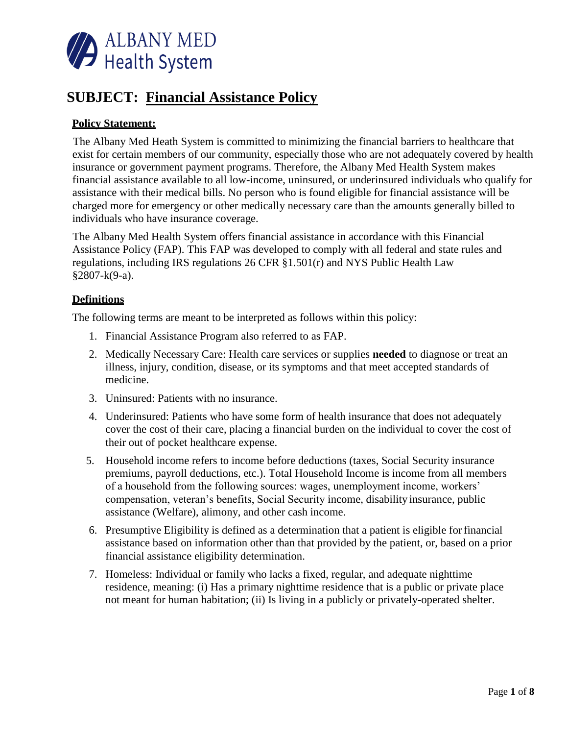

# **SUBJECT: Financial Assistance Policy**

## **Policy Statement:**

The Albany Med Heath System is committed to minimizing the financial barriers to healthcare that exist for certain members of our community, especially those who are not adequately covered by health insurance or government payment programs. Therefore, the Albany Med Health System makes financial assistance available to all low-income, uninsured, or underinsured individuals who qualify for assistance with their medical bills. No person who is found eligible for financial assistance will be charged more for emergency or other medically necessary care than the amounts generally billed to individuals who have insurance coverage.

The Albany Med Health System offers financial assistance in accordance with this Financial Assistance Policy (FAP). This FAP was developed to comply with all federal and state rules and regulations, including IRS regulations 26 CFR §1.501(r) and NYS Public Health Law §2807-k(9-a).

#### **Definitions**

The following terms are meant to be interpreted as follows within this policy:

- 1. Financial Assistance Program also referred to as FAP.
- 2. Medically Necessary Care: Health care services or supplies **needed** to diagnose or treat an illness, injury, condition, disease, or its symptoms and that meet accepted standards of medicine.
- 3. Uninsured: Patients with no insurance.
- 4. Underinsured: Patients who have some form of health insurance that does not adequately cover the cost of their care, placing a financial burden on the individual to cover the cost of their out of pocket healthcare expense.
- 5. Household income refers to income before deductions (taxes, Social Security insurance premiums, payroll deductions, etc.). Total Household Income is income from all members of a household from the following sources: wages, unemployment income, workers' compensation, veteran's benefits, Social Security income, disability insurance, public assistance (Welfare), alimony, and other cash income.
- 6. Presumptive Eligibility is defined as a determination that a patient is eligible forfinancial assistance based on information other than that provided by the patient, or, based on a prior financial assistance eligibility determination.
- 7. Homeless: Individual or family who lacks a fixed, regular, and adequate nighttime residence, meaning: (i) Has a primary nighttime residence that is a public or private place not meant for human habitation; (ii) Is living in a publicly or privately-operated shelter.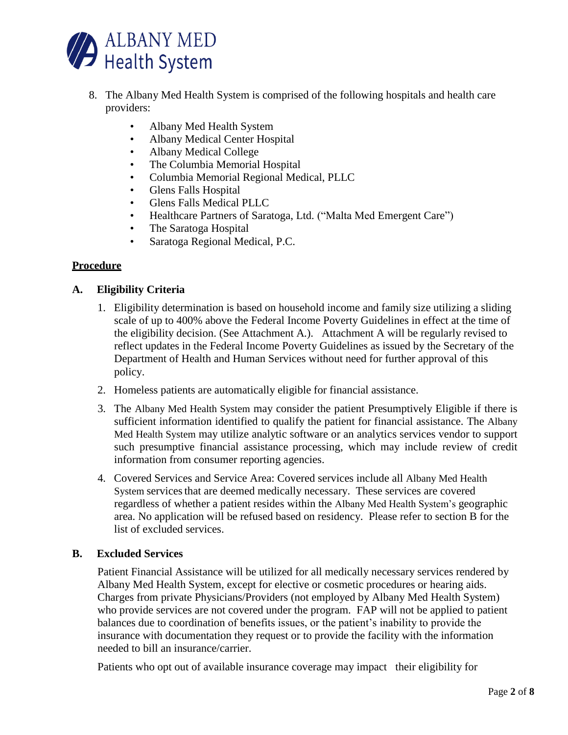

- 8. The Albany Med Health System is comprised of the following hospitals and health care providers:
	- Albany Med Health System
	- Albany Medical Center Hospital
	- Albany Medical College
	- The Columbia Memorial Hospital
	- Columbia Memorial Regional Medical, PLLC
	- Glens Falls Hospital
	- Glens Falls Medical PLLC
	- Healthcare Partners of Saratoga, Ltd. ("Malta Med Emergent Care")
	- The Saratoga Hospital
	- Saratoga Regional Medical, P.C.

# **Procedure**

### **A. Eligibility Criteria**

- 1. Eligibility determination is based on household income and family size utilizing a sliding scale of up to 400% above the Federal Income Poverty Guidelines in effect at the time of the eligibility decision. (See Attachment A.). Attachment A will be regularly revised to reflect updates in the Federal Income Poverty Guidelines as issued by the Secretary of the Department of Health and Human Services without need for further approval of this policy.
- 2. Homeless patients are automatically eligible for financial assistance.
- 3. The Albany Med Health System may consider the patient Presumptively Eligible if there is sufficient information identified to qualify the patient for financial assistance. The Albany Med Health System may utilize analytic software or an analytics services vendor to support such presumptive financial assistance processing, which may include review of credit information from consumer reporting agencies.
- 4. Covered Services and Service Area: Covered services include all Albany Med Health System services that are deemed medically necessary. These services are covered regardless of whether a patient resides within the Albany Med Health System's geographic area. No application will be refused based on residency. Please refer to section B for the list of excluded services.

### **B. Excluded Services**

Patient Financial Assistance will be utilized for all medically necessary services rendered by Albany Med Health System, except for elective or cosmetic procedures or hearing aids. Charges from private Physicians/Providers (not employed by Albany Med Health System) who provide services are not covered under the program. FAP will not be applied to patient balances due to coordination of benefits issues, or the patient's inability to provide the insurance with documentation they request or to provide the facility with the information needed to bill an insurance/carrier.

Patients who opt out of available insurance coverage may impact their eligibility for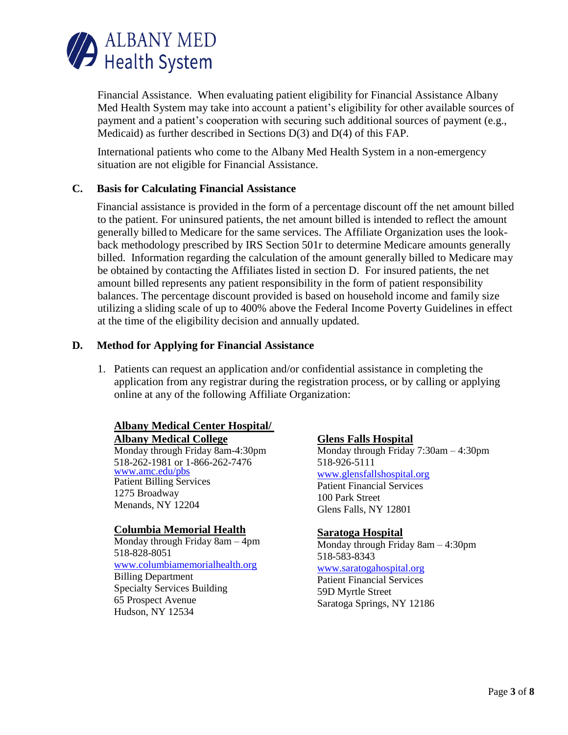

Financial Assistance. When evaluating patient eligibility for Financial Assistance Albany Med Health System may take into account a patient's eligibility for other available sources of payment and a patient's cooperation with securing such additional sources of payment (e.g., Medicaid) as further described in Sections D(3) and D(4) of this FAP.

International patients who come to the Albany Med Health System in a non-emergency situation are not eligible for Financial Assistance.

#### **C. Basis for Calculating Financial Assistance**

Financial assistance is provided in the form of a percentage discount off the net amount billed to the patient. For uninsured patients, the net amount billed is intended to reflect the amount generally billed to Medicare for the same services. The Affiliate Organization uses the lookback methodology prescribed by IRS Section 501r to determine Medicare amounts generally billed. Information regarding the calculation of the amount generally billed to Medicare may be obtained by contacting the Affiliates listed in section D. For insured patients, the net amount billed represents any patient responsibility in the form of patient responsibility balances. The percentage discount provided is based on household income and family size utilizing a sliding scale of up to 400% above the Federal Income Poverty Guidelines in effect at the time of the eligibility decision and annually updated.

#### **D. Method for Applying for Financial Assistance**

1. Patients can request an application and/or confidential assistance in completing the application from any registrar during the registration process, or by calling or applying online at any of the following Affiliate Organization:

#### **Albany Medical Center Hospital/ Albany Medical College**

Monday through Friday 8am-4:30pm 518-262-1981 or 1-866-262-7476 [www.amc.edu/pbs](http://www.amc.edu/pbs) Patient Billing Services 1275 Broadway Menands, NY 12204

#### **Columbia Memorial Health**

Monday through Friday 8am – 4pm 518-828-8051 [www.columbiamemorialhealth.org](http://www.columbiamemorialhealth.org/) Billing Department Specialty Services Building 65 Prospect Avenue Hudson, NY 12534

#### **Glens Falls Hospital**

Monday through Friday 7:30am – 4:30pm 518-926-5111 [www.glensfallshospital.org](http://www.glensfallshospital.org/) Patient Financial Services 100 Park Street Glens Falls, NY 12801

#### **Saratoga Hospital**

Monday through Friday 8am – 4:30pm 518-583-8343

#### [www.saratogahospital.org](http://www.saratogahospital.org/)

Patient Financial Services 59D Myrtle Street Saratoga Springs, NY 12186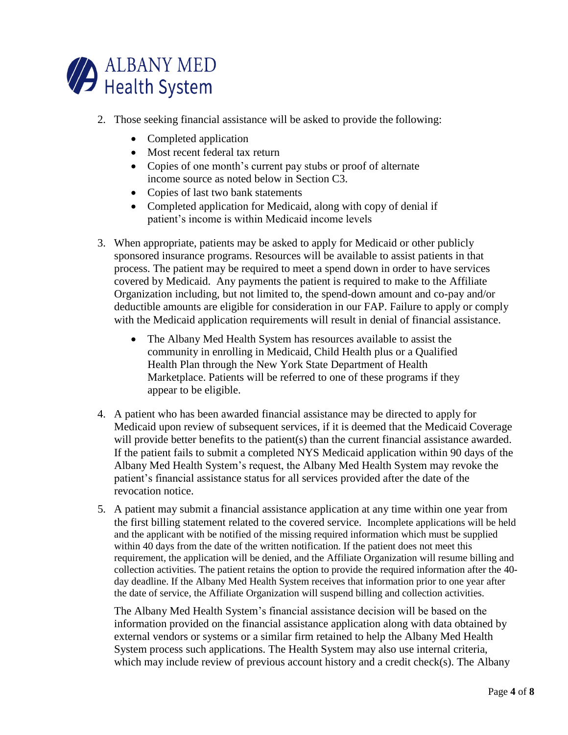

- 2. Those seeking financial assistance will be asked to provide the following:
	- Completed application
	- Most recent federal tax return
	- Copies of one month's current pay stubs or proof of alternate income source as noted below in Section C3.
	- Copies of last two bank statements
	- Completed application for Medicaid, along with copy of denial if patient's income is within Medicaid income levels
- 3. When appropriate, patients may be asked to apply for Medicaid or other publicly sponsored insurance programs. Resources will be available to assist patients in that process. The patient may be required to meet a spend down in order to have services covered by Medicaid. Any payments the patient is required to make to the Affiliate Organization including, but not limited to, the spend-down amount and co-pay and/or deductible amounts are eligible for consideration in our FAP. Failure to apply or comply with the Medicaid application requirements will result in denial of financial assistance.
	- The Albany Med Health System has resources available to assist the community in enrolling in Medicaid, Child Health plus or a Qualified Health Plan through the New York State Department of Health Marketplace. Patients will be referred to one of these programs if they appear to be eligible.
- 4. A patient who has been awarded financial assistance may be directed to apply for Medicaid upon review of subsequent services, if it is deemed that the Medicaid Coverage will provide better benefits to the patient(s) than the current financial assistance awarded. If the patient fails to submit a completed NYS Medicaid application within 90 days of the Albany Med Health System's request, the Albany Med Health System may revoke the patient's financial assistance status for all services provided after the date of the revocation notice.
- 5. A patient may submit a financial assistance application at any time within one year from the first billing statement related to the covered service. Incomplete applications will be held and the applicant with be notified of the missing required information which must be supplied within 40 days from the date of the written notification. If the patient does not meet this requirement, the application will be denied, and the Affiliate Organization will resume billing and collection activities. The patient retains the option to provide the required information after the 40 day deadline. If the Albany Med Health System receives that information prior to one year after the date of service, the Affiliate Organization will suspend billing and collection activities.

The Albany Med Health System's financial assistance decision will be based on the information provided on the financial assistance application along with data obtained by external vendors or systems or a similar firm retained to help the Albany Med Health System process such applications. The Health System may also use internal criteria, which may include review of previous account history and a credit check(s). The Albany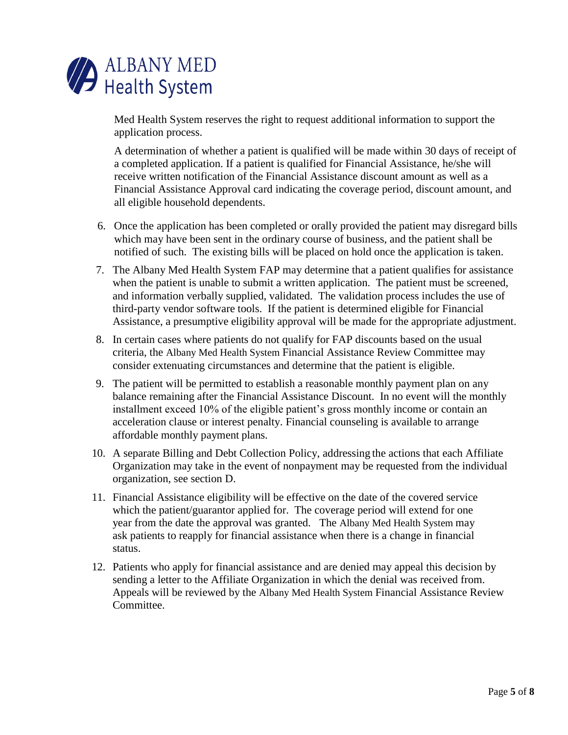

Med Health System reserves the right to request additional information to support the application process.

A determination of whether a patient is qualified will be made within 30 days of receipt of a completed application. If a patient is qualified for Financial Assistance, he/she will receive written notification of the Financial Assistance discount amount as well as a Financial Assistance Approval card indicating the coverage period, discount amount, and all eligible household dependents.

- 6. Once the application has been completed or orally provided the patient may disregard bills which may have been sent in the ordinary course of business, and the patient shall be notified of such. The existing bills will be placed on hold once the application is taken.
- 7. The Albany Med Health System FAP may determine that a patient qualifies for assistance when the patient is unable to submit a written application. The patient must be screened, and information verbally supplied, validated. The validation process includes the use of third-party vendor software tools. If the patient is determined eligible for Financial Assistance, a presumptive eligibility approval will be made for the appropriate adjustment.
- 8. In certain cases where patients do not qualify for FAP discounts based on the usual criteria, the Albany Med Health System Financial Assistance Review Committee may consider extenuating circumstances and determine that the patient is eligible.
- 9. The patient will be permitted to establish a reasonable monthly payment plan on any balance remaining after the Financial Assistance Discount. In no event will the monthly installment exceed 10% of the eligible patient's gross monthly income or contain an acceleration clause or interest penalty. Financial counseling is available to arrange affordable monthly payment plans.
- 10. A separate Billing and Debt Collection Policy, addressing the actions that each Affiliate Organization may take in the event of nonpayment may be requested from the individual organization, see section D.
- 11. Financial Assistance eligibility will be effective on the date of the covered service which the patient/guarantor applied for. The coverage period will extend for one year from the date the approval was granted. The Albany Med Health System may ask patients to reapply for financial assistance when there is a change in financial status.
- 12. Patients who apply for financial assistance and are denied may appeal this decision by sending a letter to the Affiliate Organization in which the denial was received from. Appeals will be reviewed by the Albany Med Health System Financial Assistance Review Committee.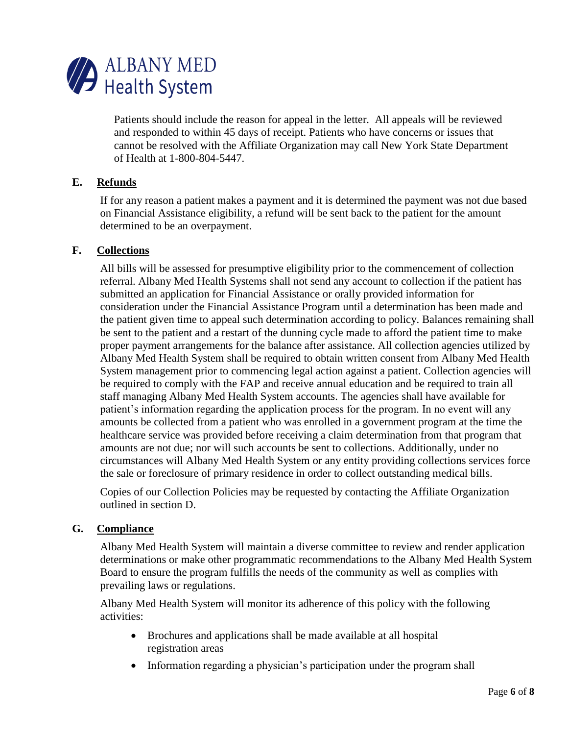

Patients should include the reason for appeal in the letter. All appeals will be reviewed and responded to within 45 days of receipt. Patients who have concerns or issues that cannot be resolved with the Affiliate Organization may call New York State Department of Health at 1-800-804-5447.

#### **E. Refunds**

If for any reason a patient makes a payment and it is determined the payment was not due based on Financial Assistance eligibility, a refund will be sent back to the patient for the amount determined to be an overpayment.

#### **F. Collections**

All bills will be assessed for presumptive eligibility prior to the commencement of collection referral. Albany Med Health Systems shall not send any account to collection if the patient has submitted an application for Financial Assistance or orally provided information for consideration under the Financial Assistance Program until a determination has been made and the patient given time to appeal such determination according to policy. Balances remaining shall be sent to the patient and a restart of the dunning cycle made to afford the patient time to make proper payment arrangements for the balance after assistance. All collection agencies utilized by Albany Med Health System shall be required to obtain written consent from Albany Med Health System management prior to commencing legal action against a patient. Collection agencies will be required to comply with the FAP and receive annual education and be required to train all staff managing Albany Med Health System accounts. The agencies shall have available for patient's information regarding the application process for the program. In no event will any amounts be collected from a patient who was enrolled in a government program at the time the healthcare service was provided before receiving a claim determination from that program that amounts are not due; nor will such accounts be sent to collections. Additionally, under no circumstances will Albany Med Health System or any entity providing collections services force the sale or foreclosure of primary residence in order to collect outstanding medical bills.

Copies of our Collection Policies may be requested by contacting the Affiliate Organization outlined in section D.

#### **G. Compliance**

Albany Med Health System will maintain a diverse committee to review and render application determinations or make other programmatic recommendations to the Albany Med Health System Board to ensure the program fulfills the needs of the community as well as complies with prevailing laws or regulations.

Albany Med Health System will monitor its adherence of this policy with the following activities:

- Brochures and applications shall be made available at all hospital registration areas
- Information regarding a physician's participation under the program shall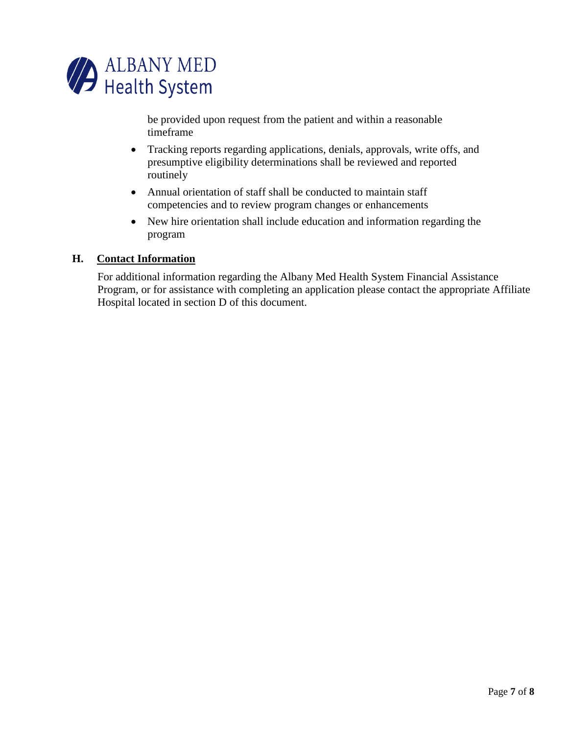

be provided upon request from the patient and within a reasonable timeframe

- Tracking reports regarding applications, denials, approvals, write offs, and presumptive eligibility determinations shall be reviewed and reported routinely
- Annual orientation of staff shall be conducted to maintain staff competencies and to review program changes or enhancements
- New hire orientation shall include education and information regarding the program

#### **H. Contact Information**

For additional information regarding the Albany Med Health System Financial Assistance Program, or for assistance with completing an application please contact the appropriate Affiliate Hospital located in section D of this document.